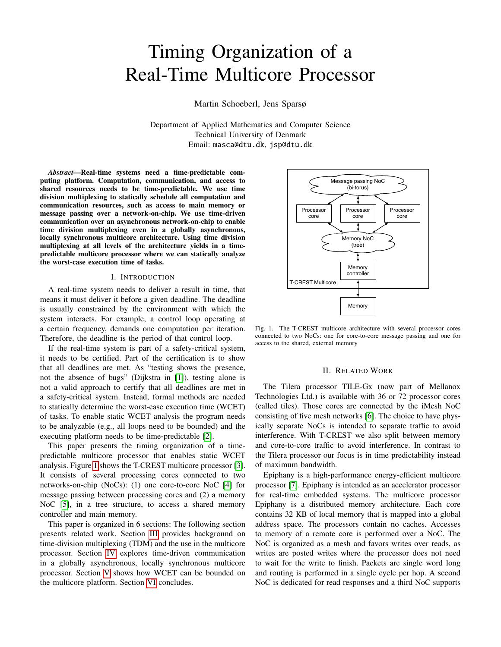# Timing Organization of a Real-Time Multicore Processor

Martin Schoeberl, Jens Sparsø

Department of Applied Mathematics and Computer Science Technical University of Denmark Email: masca@dtu.dk, jsp@dtu.dk

*Abstract*—Real-time systems need a time-predictable computing platform. Computation, communication, and access to shared resources needs to be time-predictable. We use time division multiplexing to statically schedule all computation and communication resources, such as access to main memory or message passing over a network-on-chip. We use time-driven communication over an asynchronous network-on-chip to enable time division multiplexing even in a globally asynchronous, locally synchronous multicore architecture. Using time division multiplexing at all levels of the architecture yields in a timepredictable multicore processor where we can statically analyze the worst-case execution time of tasks.

#### I. INTRODUCTION

A real-time system needs to deliver a result in time, that means it must deliver it before a given deadline. The deadline is usually constrained by the environment with which the system interacts. For example, a control loop operating at a certain frequency, demands one computation per iteration. Therefore, the deadline is the period of that control loop.

If the real-time system is part of a safety-critical system, it needs to be certified. Part of the certification is to show that all deadlines are met. As "testing shows the presence, not the absence of bugs" (Dijkstra in [\[1\]](#page-3-0)), testing alone is not a valid approach to certify that all deadlines are met in a safety-critical system. Instead, formal methods are needed to statically determine the worst-case execution time (WCET) of tasks. To enable static WCET analysis the program needs to be analyzable (e.g., all loops need to be bounded) and the executing platform needs to be time-predictable [\[2\]](#page-3-1).

This paper presents the timing organization of a timepredictable multicore processor that enables static WCET analysis. Figure [1](#page-0-0) shows the T-CREST multicore processor [\[3\]](#page-3-2). It consists of several processing cores connected to two networks-on-chip (NoCs): (1) one core-to-core NoC [\[4\]](#page-3-3) for message passing between processing cores and (2) a memory NoC [\[5\]](#page-3-4), in a tree structure, to access a shared memory controller and main memory.

This paper is organized in 6 sections: The following section presents related work. Section [III](#page-1-0) provides background on time-division multiplexing (TDM) and the use in the multicore processor. Section [IV](#page-1-1) explores time-driven communication in a globally asynchronous, locally synchronous multicore processor. Section [V](#page-2-0) shows how WCET can be bounded on the multicore platform. Section [VI](#page-3-5) concludes.



<span id="page-0-0"></span>Fig. 1. The T-CREST multicore architecture with several processor cores connected to two NoCs: one for core-to-core message passing and one for access to the shared, external memory

#### II. RELATED WORK

The Tilera processor TILE-Gx (now part of Mellanox Technologies Ltd.) is available with 36 or 72 processor cores (called tiles). Those cores are connected by the iMesh NoC consisting of five mesh networks [\[6\]](#page-3-6). The choice to have physically separate NoCs is intended to separate traffic to avoid interference. With T-CREST we also split between memory and core-to-core traffic to avoid interference. In contrast to the Tilera processor our focus is in time predictability instead of maximum bandwidth.

Epiphany is a high-performance energy-efficient multicore processor [\[7\]](#page-3-7). Epiphany is intended as an accelerator processor for real-time embedded systems. The multicore processor Epiphany is a distributed memory architecture. Each core contains 32 KB of local memory that is mapped into a global address space. The processors contain no caches. Accesses to memory of a remote core is performed over a NoC. The NoC is organized as a mesh and favors writes over reads, as writes are posted writes where the processor does not need to wait for the write to finish. Packets are single word long and routing is performed in a single cycle per hop. A second NoC is dedicated for read responses and a third NoC supports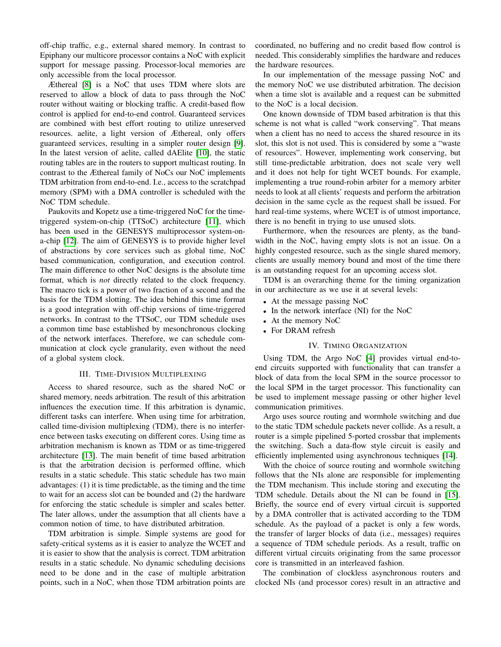off-chip traffic, e.g., external shared memory. In contrast to Epiphany our multicore processor contains a NoC with explicit support for message passing. Processor-local memories are only accessible from the local processor.

Æthereal [\[8\]](#page-3-8) is a NoC that uses TDM where slots are reserved to allow a block of data to pass through the NoC router without waiting or blocking traffic. A credit-based flow control is applied for end-to-end control. Guaranteed services are combined with best effort routing to utilize unreserved resources. aelite, a light version of Æthereal, only offers guaranteed services, resulting in a simpler router design [\[9\]](#page-3-9). In the latest version of aelite, called dAElite [\[10\]](#page-3-10), the static routing tables are in the routers to support multicast routing. In contrast to the Æthereal family of NoCs our NoC implements TDM arbitration from end-to-end. I.e., access to the scratchpad memory (SPM) with a DMA controller is scheduled with the NoC TDM schedule.

Paukovits and Kopetz use a time-triggered NoC for the timetriggered system-on-chip (TTSoC) architecture [\[11\]](#page-3-11), which has been used in the GENESYS multiprocessor system-ona-chip [\[12\]](#page-3-12). The aim of GENESYS is to provide higher level of abstractions by core services such as global time, NoC based communication, configuration, and execution control. The main difference to other NoC designs is the absolute time format, which is *not* directly related to the clock frequency. The macro tick is a power of two fraction of a second and the basis for the TDM slotting. The idea behind this time format is a good integration with off-chip versions of time-triggered networks. In contrast to the TTSoC, our TDM schedule uses a common time base established by mesonchronous clocking of the network interfaces. Therefore, we can schedule communication at clock cycle granularity, even without the need of a global system clock.

# III. TIME-DIVISION MULTIPLEXING

<span id="page-1-0"></span>Access to shared resource, such as the shared NoC or shared memory, needs arbitration. The result of this arbitration influences the execution time. If this arbitration is dynamic, different tasks can interfere. When using time for arbitration, called time-division multiplexing (TDM), there is no interference between tasks executing on different cores. Using time as arbitration mechanism is known as TDM or as time-triggered architecture [\[13\]](#page-3-13). The main benefit of time based arbitration is that the arbitration decision is performed offline, which results in a static schedule. This static schedule has two main advantages: (1) it is time predictable, as the timing and the time to wait for an access slot can be bounded and (2) the hardware for enforcing the static schedule is simpler and scales better. The later allows, under the assumption that all clients have a common notion of time, to have distributed arbitration.

TDM arbitration is simple. Simple systems are good for safety-critical systems as it is easier to analyze the WCET and it is easier to show that the analysis is correct. TDM arbitration results in a static schedule. No dynamic scheduling decisions need to be done and in the case of multiple arbitration points, such in a NoC, when those TDM arbitration points are coordinated, no buffering and no credit based flow control is needed. This considerably simplifies the hardware and reduces the hardware resources.

In our implementation of the message passing NoC and the memory NoC we use distributed arbitration. The decision when a time slot is available and a request can be submitted to the NoC is a local decision.

One known downside of TDM based arbitration is that this scheme is not what is called "work conserving". That means when a client has no need to access the shared resource in its slot, this slot is not used. This is considered by some a "waste of resources". However, implementing work conserving, but still time-predictable arbitration, does not scale very well and it does not help for tight WCET bounds. For example, implementing a true round-robin arbiter for a memory arbiter needs to look at all clients' requests and perform the arbitration decision in the same cycle as the request shall be issued. For hard real-time systems, where WCET is of utmost importance, there is no benefit in trying to use unused slots.

Furthermore, when the resources are plenty, as the bandwidth in the NoC, having empty slots is not an issue. On a highly congested resource, such as the single shared memory, clients are usually memory bound and most of the time there is an outstanding request for an upcoming access slot.

TDM is an overarching theme for the timing organization in our architecture as we use it at several levels:

- At the message passing NoC
- In the network interface (NI) for the NoC
- At the memory NoC
- <span id="page-1-1"></span>• For DRAM refresh

# IV. TIMING ORGANIZATION

Using TDM, the Argo NoC [\[4\]](#page-3-3) provides virtual end-toend circuits supported with functionality that can transfer a block of data from the local SPM in the source processor to the local SPM in the target processor. This functionality can be used to implement message passing or other higher level communication primitives.

Argo uses source routing and wormhole switching and due to the static TDM schedule packets never collide. As a result, a router is a simple pipelined 5-ported crossbar that implements the switching. Such a data-flow style circuit is easily and efficiently implemented using asynchronous techniques [\[14\]](#page-3-14).

With the choice of source routing and wormhole switching follows that the NIs alone are responsible for implementing the TDM mechanism. This include storing and executing the TDM schedule. Details about the NI can be found in [\[15\]](#page-3-15). Briefly, the source end of every virtual circuit is supported by a DMA controller that is activated according to the TDM schedule. As the payload of a packet is only a few words, the transfer of larger blocks of data (i.e., messages) requires a sequence of TDM schedule periods. As a result, traffic on different virtual circuits originating from the same processor core is transmitted in an interleaved fashion.

The combination of clockless asynchronous routers and clocked NIs (and processor cores) result in an attractive and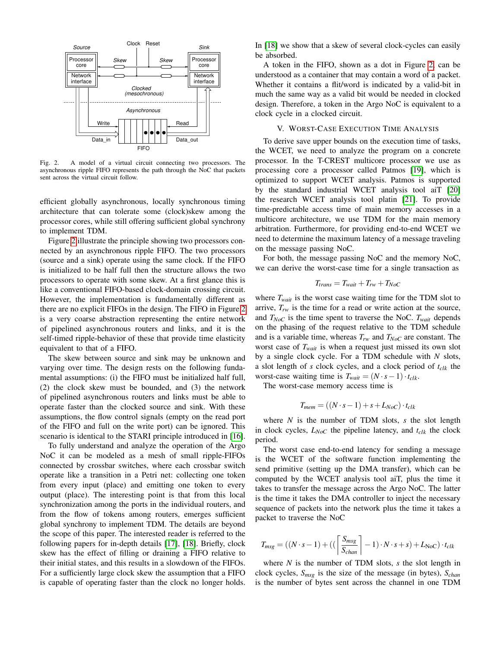

<span id="page-2-1"></span>Fig. 2. A model of a virtual circuit connecting two processors. The asynchronous ripple FIFO represents the path through the NoC that packets sent across the virtual circuit follow.

efficient globally asynchronous, locally synchronous timing architecture that can tolerate some (clock)skew among the processor cores, while still offering sufficient global synchrony to implement TDM.

Figure [2](#page-2-1) illustrate the principle showing two processors connected by an asynchronous ripple FIFO. The two processors (source and a sink) operate using the same clock. If the FIFO is initialized to be half full then the structure allows the two processors to operate with some skew. At a first glance this is like a conventional FIFO-based clock-domain crossing circuit. However, the implementation is fundamentally different as there are no explicit FIFOs in the design. The FIFO in Figure [2](#page-2-1) is a very coarse abstraction representing the entire network of pipelined asynchronous routers and links, and it is the self-timed ripple-behavior of these that provide time elasticity equivalent to that of a FIFO.

The skew between source and sink may be unknown and varying over time. The design rests on the following fundamental assumptions: (i) the FIFO must be initialized half full, (2) the clock skew must be bounded, and (3) the network of pipelined asynchronous routers and links must be able to operate faster than the clocked source and sink. With these assumptions, the flow control signals (empty on the read port of the FIFO and full on the write port) can be ignored. This scenario is identical to the STARI principle introduced in [\[16\]](#page-3-16).

To fully understand and analyze the operation of the Argo NoC it can be modeled as a mesh of small ripple-FIFOs connected by crossbar switches, where each crossbar switch operate like a transition in a Petri net: collecting one token from every input (place) and emitting one token to every output (place). The interesting point is that from this local synchronization among the ports in the individual routers, and from the flow of tokens among routers, emerges sufficient global synchrony to implement TDM. The details are beyond the scope of this paper. The interested reader is referred to the following papers for in-depth details [\[17\]](#page-3-17), [\[18\]](#page-3-18). Briefly, clock skew has the effect of filling or draining a FIFO relative to their initial states, and this results in a slowdown of the FIFOs. For a sufficiently large clock skew the assumption that a FIFO is capable of operating faster than the clock no longer holds.

In [\[18\]](#page-3-18) we show that a skew of several clock-cycles can easily be absorbed.

A token in the FIFO, shown as a dot in Figure [2,](#page-2-1) can be understood as a container that may contain a word of a packet. Whether it contains a flit/word is indicated by a valid-bit in much the same way as a valid bit would be needed in clocked design. Therefore, a token in the Argo NoC is equivalent to a clock cycle in a clocked circuit.

# V. WORST-CASE EXECUTION TIME ANALYSIS

<span id="page-2-0"></span>To derive save upper bounds on the execution time of tasks, the WCET, we need to analyze the program on a concrete processor. In the T-CREST multicore processor we use as processing core a processor called Patmos [\[19\]](#page-3-19), which is optimized to support WCET analysis. Patmos is supported by the standard industrial WCET analysis tool aiT [\[20\]](#page-3-20) the research WCET analysis tool platin [\[21\]](#page-3-21). To provide time-predictable access time of main memory accesses in a multicore architecture, we use TDM for the main memory arbitration. Furthermore, for providing end-to-end WCET we need to determine the maximum latency of a message traveling on the message passing NoC.

For both, the message passing NoC and the memory NoC, we can derive the worst-case time for a single transaction as

$$
T_{trans} = T_{wait} + T_{rw} + T_{NoC}
$$

where *Twait* is the worst case waiting time for the TDM slot to arrive,  $T_{rw}$  is the time for a read or write action at the source, and  $T_{Noc}$  is the time spent to traverse the NoC.  $T_{wait}$  depends on the phasing of the request relative to the TDM schedule and is a variable time, whereas  $T_{rw}$  and  $T_{NoC}$  are constant. The worst case of *Twait* is when a request just missed its own slot by a single clock cycle. For a TDM schedule with *N* slots, a slot length of *s* clock cycles, and a clock period of *tclk* the worst-case waiting time is  $T_{wait} = (N \cdot s - 1) \cdot t_{clk}$ .

The worst-case memory access time is

$$
T_{mem} = ((N \cdot s - 1) + s + L_{NoC}) \cdot t_{clk}
$$

where *N* is the number of TDM slots, *s* the slot length in clock cycles, *LNoC* the pipeline latency, and *tclk* the clock period.

The worst case end-to-end latency for sending a message is the WCET of the software function implementing the send primitive (setting up the DMA transfer), which can be computed by the WCET analysis tool aiT, plus the time it takes to transfer the message across the Argo NoC. The latter is the time it takes the DMA controller to inject the necessary sequence of packets into the network plus the time it takes a packet to traverse the NoC

$$
T_{msg} = ((N \cdot s - 1) + ((\left\lceil \frac{S_{msg}}{S_{chan}} \right\rceil - 1) \cdot N \cdot s + s) + L_{Noc}) \cdot t_{clk}
$$

where *N* is the number of TDM slots, *s* the slot length in clock cycles, *Smsg* is the size of the message (in bytes), *Schan* is the number of bytes sent across the channel in one TDM